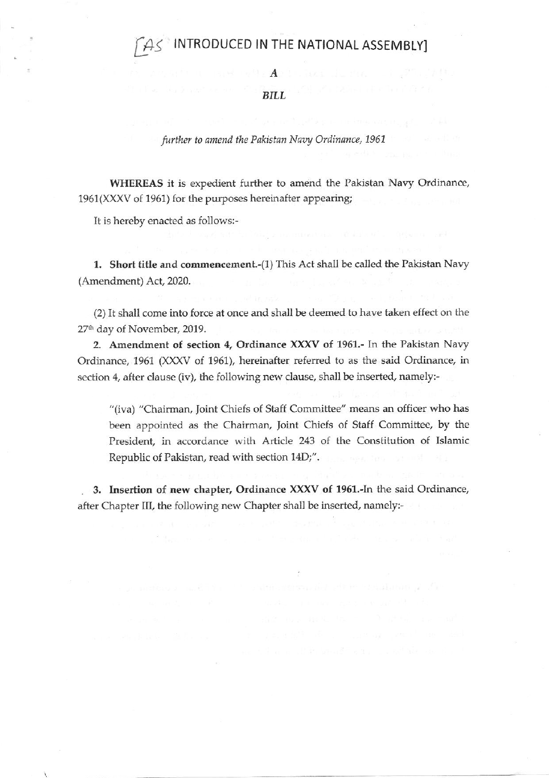# INTRODUCED IN THE NATIONAL ASSEMBLY]

A

## BILL

further to amend the Pakistan Navy Ordinance, 1961

WHEREAS it is expedient further to amend the Pakistan Navy Ordinance, 1951(XXXV of 1961) for the purposes hereinafter appearing;

It is hereby enacted as follows:-

1. Short title and commencement.-(1) This Act shall be called the Pakistan Navy (Amendment) Act, 2020.

(2) It shall come into force at once and shall be deemed to have taken effect on the 27<sup>th</sup> day of November, 2019.

2. Amendment of section 4, Ordinance XXXV of 1961.- In the Pakistan Navy Ordinance, 1961 (XXXV of 1961), hereinafter referred to as the said Ordinance, in section 4, after clause (iv), the following new clause, shall be inserted, namely:-

"(iva) "Chairman, Joint Chiefs of Staff Committee" means an officer who has been appointed as the Chairman, Joint Chiefs of Staff Committee, by the President, in accordance with Article 243 of the Constitution of Islamic Republic of Pakistan, read with section 14D;".

3. Insertion of new chapter, Ordinance XXXV of 1961.-In the said Ordinance, after Chapter III, the following new Chapter shall be inserted, namely:-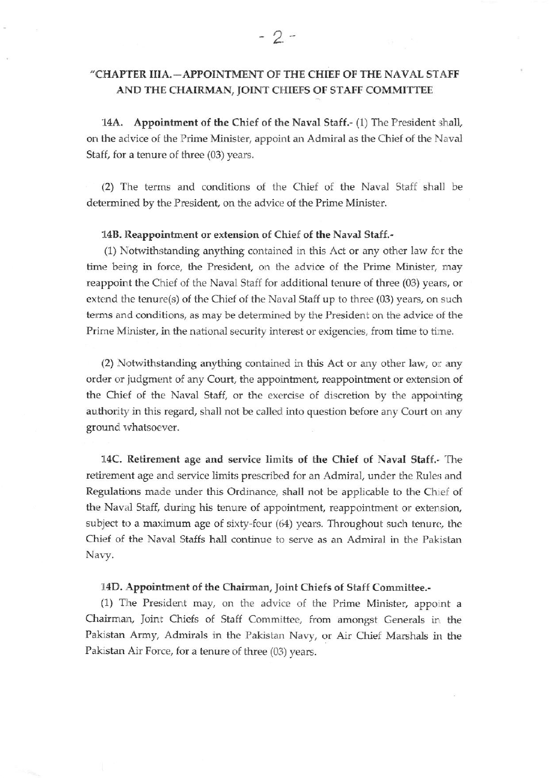# "CHAPIER IIIA.\_APPOINTMENT OF THE CHIEF OF THE NAVAL STAFF AND THE CHAIRMAN, JOINT CHIEFS OF STAFF COMMITTEE

14A. Appointment of the Chief of the Naval Staff.- (1) The President shall, on the advice of the Prime Minister, appoint an Admiral as the Chief of the Naval Staff, for a tenure of three (03) years.

(2) The terms and conditions of the Chief of the Naval Staff shall be determined by the President, on the advice of the Prime Minister.

#### 14B. Reappointment or extension of Chief of the Naval Staff.-

(1) Notwithstanding anything contained in this Act or any other law fcr the time being in force, the President, on the advice of the Prime Minister, may reappoint the Chief of the Naval Staff for additional tenure of three (03) years, or extend the tenure(s) of the Chief of the Naval Staff up to three (03) years, on such terms and conditions, as may be determined by the President on the advice of the Prime Minister, in the national security interest or exigencies, from time to tirne.

 $(2)$  Notwithstanding anything contained in this Act or any other law, or any order or judgment of any Court, the appointment, reappointment or extension of the Chief of the Naval Staff, or the exercise of discretion by the appointing authority in this regard, shall not be called into question before any Court on any ground whatsoever.

14C. Retirement age and service limits of the Chief of Naval Staff.. The retirement age and service limits prescribed for an Admiral, under the Rules and Regulations made under this Ordinance, shall not be applicable to the Chief of the Naval Staff, during his tenure of appointment, reappointment or extension, subject to a maximum age of sixty-four  $(64)$  years. Throughout such tenure, the Chief of the Naval Staffs hall continue to serve as an Admiral in the Pakistan Nary.

#### 14D. Appointment of the Chairman, Joint Chiefs of Staff Committee.-

 $(1)$  The President may, on the advice of the Prime Minister, appoint a Chairman, Joint Chiefs of Staff Committee, from amongst Generals ir. the Pakistan Army, Admirals in the Pakistan Navy, or Air Chief Marshals in the Pakistan Air Force, for a tenure of three (03) years.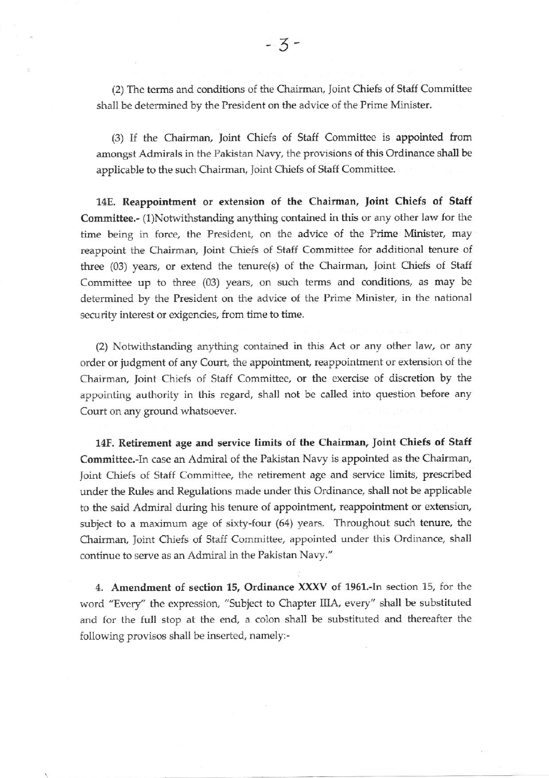(2) The terms and conditions of the Chairman, Joint Chiefs of Staff Committee shall be determined by the President on the advice of the Prime Minister.

(3) If the Chairman, Joint Chiefs of Staff Committee is appointed from amongst Admirals in the Pakistan Nany, the provisions of this Ordinance shall be applicable to the such Chairman, Joint Chiefs of Staff Committee.

14E. Reappointment or extension of the Chairman, Joint Chiefs of Staff Committee.- (1)Notwithstanding anything contained in this or any other law for the time being in force. the President, on the advice of the Prime Minister, may reappoint the Chairman, Joint Chiefs of Staff Committee for additional tenure of three (03) years, or extend the tenure(s) of the Chairman, Joint Chiefs of Staff Committee up to three (03) years, on such terms and conditions, as may be determined by the President on the advice of the Prime Minister, in the national security interest or exigencies, from time to time.

(2) Notwithstanding anything contained in this Act or any other law, or any order or judgment of any Court, the appointment, reappointment or extension of the Chairman, Joint Chiefs of Staff Commiftee, or the exercise of discretion by the appointing authority in this regard, shall not be called into question before any Court on any ground whatsoever.

14F. Retirement age and sewice limits of the Chairman. Joint Chiefs of Staff Committee.-In case an Admiral of the Pakistan Navy is appointed as the Chairman, Joint Chiefs of Staff Committee, the retirement age and service limits, prescribed under the Rules and Regulations made under this Ordinance, shall not be applicable to the said Admiral during his tenure of appointment, reappointment or extension, subject to a maximum age of sixty-four (64) years. Throughout such tenure, the Chairman, Joint Chiefs of Staff Committee, appointed under this Ordinance, shall continue to serve as an Admiral in the Pakistan Naw."

4. Amendment of section 15, Ordinance XXXV of 1961.-In section 15, for the word "Every" the expression, "Subject to Chapter IIIA, every" shall be substituted and for the full stop at the end, a colon shall be substituted and thereafter the following provisos shall be inserted, namely:-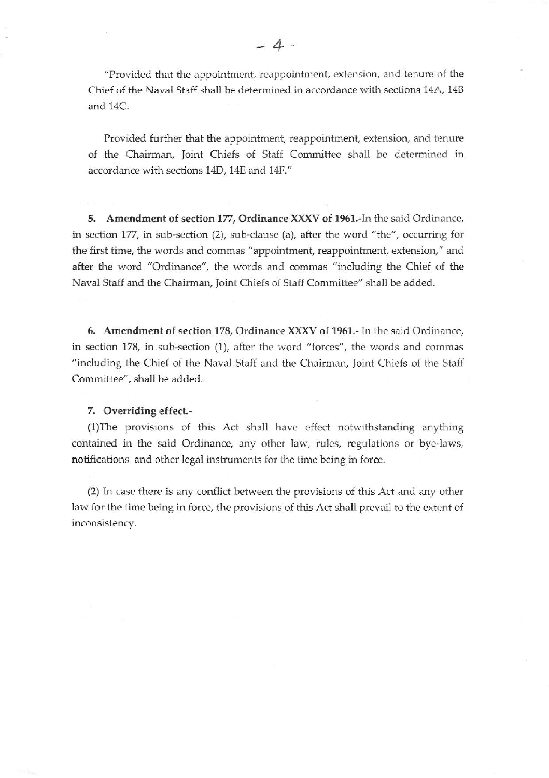"Provided that the appointment, reappointment, extension, and tenure of the Chief of the Naval Staff shall be determined in accordance with sections 14A, 14B and 14C.

Provided further that the appointment, reappointment, extension, and tenure of the Chairman, Joint Chiefs of Staff Committee shall be determined in accordance with scctions 14D, 14E and 14F."

5. Amendment of section 177, Ordinance XXXV of 1961.-In the said Ordinance, in section 177, in sub-section (2), sub-clause (a), after the word "the", occurring for the first time, the words and commas "appointment, reappointment, extension," and after the word "Ordinance", the words and commas "including the Chief of the Naval Staff and the Chairman, Joint Chiefs of Staff Committee" shall be added.

6, Amendment of section 178, Ordinance XXXV of 1951.- ln the said Ordinance, in section 178, in sub-section (1), after the word "forces", the words and commas "including the Chief of the Naval Staff and the Chairman, Joint Chiefs of the Staff Committee", shall be added.

#### 7. Overriding effect.-

(1)The provisions of this Act shall have effect notwithstanding anyfiing contained in the said Ordinance. any other law, rules, regulations or bye-laws, notifications and other legal instruments for the time being in force.

(2) In case there is any conflicl between the provisions of this Act and any other law for the time being in force, the provisions of this Act shall prevail to the extent of inconsistency.